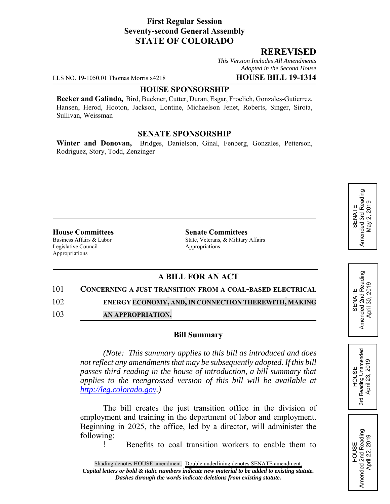# **First Regular Session Seventy-second General Assembly STATE OF COLORADO**

# **REREVISED**

*This Version Includes All Amendments Adopted in the Second House*

LLS NO. 19-1050.01 Thomas Morris x4218 **HOUSE BILL 19-1314**

# **HOUSE SPONSORSHIP**

**Becker and Galindo,** Bird, Buckner, Cutter, Duran, Esgar, Froelich, Gonzales-Gutierrez, Hansen, Herod, Hooton, Jackson, Lontine, Michaelson Jenet, Roberts, Singer, Sirota, Sullivan, Weissman

## **SENATE SPONSORSHIP**

**Winter and Donovan,** Bridges, Danielson, Ginal, Fenberg, Gonzales, Petterson, Rodriguez, Story, Todd, Zenzinger

Legislative Council **Appropriations** Appropriations

**House Committees**<br>Business Affairs & Labor<br>State, Veterans, & Military State, Veterans, & Military Affairs

# **A BILL FOR AN ACT**

### 101 **CONCERNING A JUST TRANSITION FROM A COAL-BASED ELECTRICAL**

102 **ENERGY ECONOMY, AND, IN CONNECTION THEREWITH, MAKING**

103 **AN APPROPRIATION.**

### **Bill Summary**

*(Note: This summary applies to this bill as introduced and does not reflect any amendments that may be subsequently adopted. If this bill passes third reading in the house of introduction, a bill summary that applies to the reengrossed version of this bill will be available at http://leg.colorado.gov.)*

The bill creates the just transition office in the division of employment and training in the department of labor and employment. Beginning in 2025, the office, led by a director, will administer the following:

! Benefits to coal transition workers to enable them to

HOUSE<br>Reading Unamended<br>April 23, 2019 3rd Reading Unamended April 23, 2019

3rd

HOUSE<br>Amended 2nd Reading<br>April 22, 2019 Amended 2nd Reading April 22, 2019

SENATE<br>Amended 2nd Reading<br>April 30, 2019 Amended 2nd Reading April 30, 2019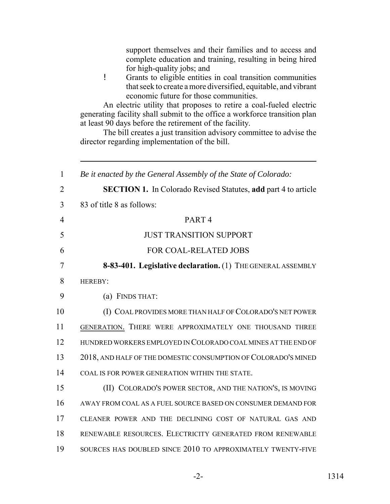support themselves and their families and to access and complete education and training, resulting in being hired for high-quality jobs; and ! Grants to eligible entities in coal transition communities that seek to create a more diversified, equitable, and vibrant economic future for those communities. An electric utility that proposes to retire a coal-fueled electric generating facility shall submit to the office a workforce transition plan at least 90 days before the retirement of the facility. The bill creates a just transition advisory committee to advise the director regarding implementation of the bill. *Be it enacted by the General Assembly of the State of Colorado:* **SECTION 1.** In Colorado Revised Statutes, **add** part 4 to article 83 of title 8 as follows: PART 4 JUST TRANSITION SUPPORT FOR COAL-RELATED JOBS **8-83-401. Legislative declaration.** (1) THE GENERAL ASSEMBLY HEREBY: (a) FINDS THAT: (I) COAL PROVIDES MORE THAN HALF OF COLORADO'S NET POWER GENERATION. THERE WERE APPROXIMATELY ONE THOUSAND THREE HUNDRED WORKERS EMPLOYED IN COLORADO COAL MINES AT THE END OF 2018, AND HALF OF THE DOMESTIC CONSUMPTION OF COLORADO'S MINED COAL IS FOR POWER GENERATION WITHIN THE STATE. (II) COLORADO'S POWER SECTOR, AND THE NATION'S, IS MOVING AWAY FROM COAL AS A FUEL SOURCE BASED ON CONSUMER DEMAND FOR CLEANER POWER AND THE DECLINING COST OF NATURAL GAS AND RENEWABLE RESOURCES. ELECTRICITY GENERATED FROM RENEWABLE SOURCES HAS DOUBLED SINCE 2010 TO APPROXIMATELY TWENTY-FIVE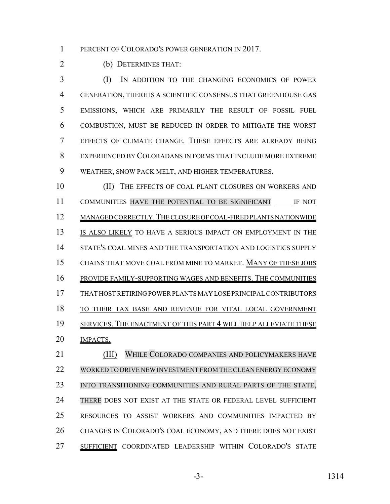1 PERCENT OF COLORADO'S POWER GENERATION IN 2017.

(b) DETERMINES THAT:

 (I) IN ADDITION TO THE CHANGING ECONOMICS OF POWER GENERATION, THERE IS A SCIENTIFIC CONSENSUS THAT GREENHOUSE GAS EMISSIONS, WHICH ARE PRIMARILY THE RESULT OF FOSSIL FUEL COMBUSTION, MUST BE REDUCED IN ORDER TO MITIGATE THE WORST EFFECTS OF CLIMATE CHANGE. THESE EFFECTS ARE ALREADY BEING EXPERIENCED BY COLORADANS IN FORMS THAT INCLUDE MORE EXTREME WEATHER, SNOW PACK MELT, AND HIGHER TEMPERATURES.

10 (II) THE EFFECTS OF COAL PLANT CLOSURES ON WORKERS AND 11 COMMUNITIES HAVE THE POTENTIAL TO BE SIGNIFICANT IF NOT MANAGED CORRECTLY.THE CLOSURE OF COAL-FIRED PLANTS NATIONWIDE IS ALSO LIKELY TO HAVE A SERIOUS IMPACT ON EMPLOYMENT IN THE STATE'S COAL MINES AND THE TRANSPORTATION AND LOGISTICS SUPPLY CHAINS THAT MOVE COAL FROM MINE TO MARKET. MANY OF THESE JOBS PROVIDE FAMILY-SUPPORTING WAGES AND BENEFITS. THE COMMUNITIES THAT HOST RETIRING POWER PLANTS MAY LOSE PRINCIPAL CONTRIBUTORS TO THEIR TAX BASE AND REVENUE FOR VITAL LOCAL GOVERNMENT SERVICES. THE ENACTMENT OF THIS PART 4 WILL HELP ALLEVIATE THESE **IMPACTS**. (III) WHILE COLORADO COMPANIES AND POLICYMAKERS HAVE

 WORKED TO DRIVE NEWINVESTMENT FROMTHECLEAN ENERGY ECONOMY 23 INTO TRANSITIONING COMMUNITIES AND RURAL PARTS OF THE STATE, THERE DOES NOT EXIST AT THE STATE OR FEDERAL LEVEL SUFFICIENT RESOURCES TO ASSIST WORKERS AND COMMUNITIES IMPACTED BY CHANGES IN COLORADO'S COAL ECONOMY, AND THERE DOES NOT EXIST SUFFICIENT COORDINATED LEADERSHIP WITHIN COLORADO'S STATE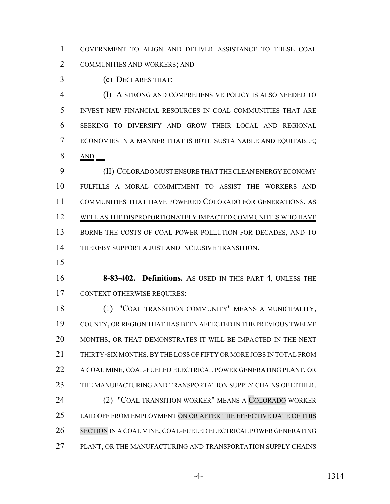GOVERNMENT TO ALIGN AND DELIVER ASSISTANCE TO THESE COAL COMMUNITIES AND WORKERS; AND

(c) DECLARES THAT:

 (I) A STRONG AND COMPREHENSIVE POLICY IS ALSO NEEDED TO INVEST NEW FINANCIAL RESOURCES IN COAL COMMUNITIES THAT ARE SEEKING TO DIVERSIFY AND GROW THEIR LOCAL AND REGIONAL ECONOMIES IN A MANNER THAT IS BOTH SUSTAINABLE AND EQUITABLE; AND

 (II) COLORADO MUST ENSURE THAT THE CLEAN ENERGY ECONOMY FULFILLS A MORAL COMMITMENT TO ASSIST THE WORKERS AND 11 COMMUNITIES THAT HAVE POWERED COLORADO FOR GENERATIONS, AS 12 WELL AS THE DISPROPORTIONATELY IMPACTED COMMUNITIES WHO HAVE 13 BORNE THE COSTS OF COAL POWER POLLUTION FOR DECADES, AND TO 14 THEREBY SUPPORT A JUST AND INCLUSIVE TRANSITION.

 **8-83-402. Definitions.** AS USED IN THIS PART 4, UNLESS THE CONTEXT OTHERWISE REQUIRES:

 (1) "COAL TRANSITION COMMUNITY" MEANS A MUNICIPALITY, COUNTY, OR REGION THAT HAS BEEN AFFECTED IN THE PREVIOUS TWELVE MONTHS, OR THAT DEMONSTRATES IT WILL BE IMPACTED IN THE NEXT THIRTY-SIX MONTHS, BY THE LOSS OF FIFTY OR MORE JOBS IN TOTAL FROM A COAL MINE, COAL-FUELED ELECTRICAL POWER GENERATING PLANT, OR THE MANUFACTURING AND TRANSPORTATION SUPPLY CHAINS OF EITHER. (2) "COAL TRANSITION WORKER" MEANS A COLORADO WORKER LAID OFF FROM EMPLOYMENT ON OR AFTER THE EFFECTIVE DATE OF THIS SECTION IN A COAL MINE, COAL-FUELED ELECTRICAL POWER GENERATING PLANT, OR THE MANUFACTURING AND TRANSPORTATION SUPPLY CHAINS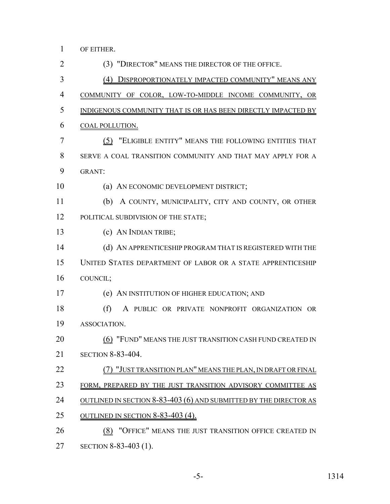OF EITHER.

- (3) "DIRECTOR" MEANS THE DIRECTOR OF THE OFFICE. (4) DISPROPORTIONATELY IMPACTED COMMUNITY" MEANS ANY COMMUNITY OF COLOR, LOW-TO-MIDDLE INCOME COMMUNITY, OR INDIGENOUS COMMUNITY THAT IS OR HAS BEEN DIRECTLY IMPACTED BY COAL POLLUTION. (5) "ELIGIBLE ENTITY" MEANS THE FOLLOWING ENTITIES THAT SERVE A COAL TRANSITION COMMUNITY AND THAT MAY APPLY FOR A GRANT: (a) AN ECONOMIC DEVELOPMENT DISTRICT; (b) A COUNTY, MUNICIPALITY, CITY AND COUNTY, OR OTHER 12 POLITICAL SUBDIVISION OF THE STATE; (c) AN INDIAN TRIBE; (d) AN APPRENTICESHIP PROGRAM THAT IS REGISTERED WITH THE UNITED STATES DEPARTMENT OF LABOR OR A STATE APPRENTICESHIP COUNCIL; (e) AN INSTITUTION OF HIGHER EDUCATION; AND (f) A PUBLIC OR PRIVATE NONPROFIT ORGANIZATION OR ASSOCIATION. **(6) "FUND" MEANS THE JUST TRANSITION CASH FUND CREATED IN**  SECTION 8-83-404. 22 (7) "JUST TRANSITION PLAN" MEANS THE PLAN, IN DRAFT OR FINAL 23 FORM, PREPARED BY THE JUST TRANSITION ADVISORY COMMITTEE AS 24 OUTLINED IN SECTION 8-83-403 (6) AND SUBMITTED BY THE DIRECTOR AS OUTLINED IN SECTION 8-83-403 (4). (8) "OFFICE" MEANS THE JUST TRANSITION OFFICE CREATED IN SECTION 8-83-403 (1).
	-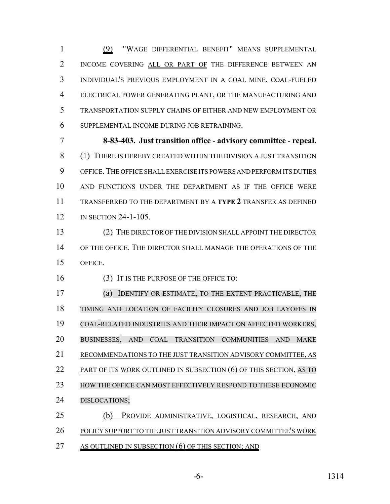(9) "WAGE DIFFERENTIAL BENEFIT" MEANS SUPPLEMENTAL INCOME COVERING ALL OR PART OF THE DIFFERENCE BETWEEN AN INDIVIDUAL'S PREVIOUS EMPLOYMENT IN A COAL MINE, COAL-FUELED ELECTRICAL POWER GENERATING PLANT, OR THE MANUFACTURING AND TRANSPORTATION SUPPLY CHAINS OF EITHER AND NEW EMPLOYMENT OR SUPPLEMENTAL INCOME DURING JOB RETRAINING.

 **8-83-403. Just transition office - advisory committee - repeal.** (1) THERE IS HEREBY CREATED WITHIN THE DIVISION A JUST TRANSITION OFFICE.THE OFFICE SHALL EXERCISE ITS POWERS AND PERFORM ITS DUTIES AND FUNCTIONS UNDER THE DEPARTMENT AS IF THE OFFICE WERE TRANSFERRED TO THE DEPARTMENT BY A **TYPE 2** TRANSFER AS DEFINED 12 IN SECTION 24-1-105.

 (2) THE DIRECTOR OF THE DIVISION SHALL APPOINT THE DIRECTOR OF THE OFFICE. THE DIRECTOR SHALL MANAGE THE OPERATIONS OF THE OFFICE.

16 (3) IT IS THE PURPOSE OF THE OFFICE TO:

 (a) IDENTIFY OR ESTIMATE, TO THE EXTENT PRACTICABLE, THE TIMING AND LOCATION OF FACILITY CLOSURES AND JOB LAYOFFS IN COAL-RELATED INDUSTRIES AND THEIR IMPACT ON AFFECTED WORKERS, BUSINESSES, AND COAL TRANSITION COMMUNITIES AND MAKE RECOMMENDATIONS TO THE JUST TRANSITION ADVISORY COMMITTEE, AS 22 PART OF ITS WORK OUTLINED IN SUBSECTION (6) OF THIS SECTION, AS TO HOW THE OFFICE CAN MOST EFFECTIVELY RESPOND TO THESE ECONOMIC DISLOCATIONS; (b) PROVIDE ADMINISTRATIVE, LOGISTICAL, RESEARCH, AND POLICY SUPPORT TO THE JUST TRANSITION ADVISORY COMMITTEE'S WORK

27 AS OUTLINED IN SUBSECTION (6) OF THIS SECTION; AND

-6- 1314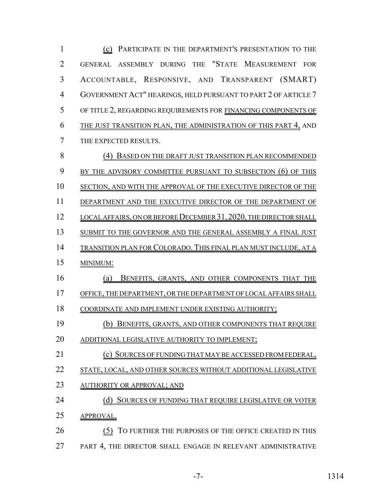(c) PARTICIPATE IN THE DEPARTMENT'S PRESENTATION TO THE GENERAL ASSEMBLY DURING THE "STATE MEASUREMENT FOR ACCOUNTABLE, RESPONSIVE, AND TRANSPARENT (SMART) GOVERNMENT ACT" HEARINGS, HELD PURSUANT TO PART 2 OF ARTICLE 7 OF TITLE 2, REGARDING REQUIREMENTS FOR FINANCING COMPONENTS OF THE JUST TRANSITION PLAN, THE ADMINISTRATION OF THIS PART 4, AND THE EXPECTED RESULTS. (4) BASED ON THE DRAFT JUST TRANSITION PLAN RECOMMENDED 9 BY THE ADVISORY COMMITTEE PURSUANT TO SUBSECTION (6) OF THIS SECTION, AND WITH THE APPROVAL OF THE EXECUTIVE DIRECTOR OF THE 11 DEPARTMENT AND THE EXECUTIVE DIRECTOR OF THE DEPARTMENT OF 12 LOCAL AFFAIRS, ON OR BEFORE DECEMBER 31, 2020, THE DIRECTOR SHALL SUBMIT TO THE GOVERNOR AND THE GENERAL ASSEMBLY A FINAL JUST TRANSITION PLAN FOR COLORADO. THIS FINAL PLAN MUST INCLUDE, AT A MINIMUM: (a) BENEFITS, GRANTS, AND OTHER COMPONENTS THAT THE OFFICE, THE DEPARTMENT, OR THE DEPARTMENT OF LOCAL AFFAIRS SHALL COORDINATE AND IMPLEMENT UNDER EXISTING AUTHORITY; (b) BENEFITS, GRANTS, AND OTHER COMPONENTS THAT REQUIRE 20 ADDITIONAL LEGISLATIVE AUTHORITY TO IMPLEMENT; (c) SOURCES OF FUNDING THAT MAY BE ACCESSED FROM FEDERAL, STATE, LOCAL, AND OTHER SOURCES WITHOUT ADDITIONAL LEGISLATIVE 23 AUTHORITY OR APPROVAL; AND 24 (d) SOURCES OF FUNDING THAT REQUIRE LEGISLATIVE OR VOTER APPROVAL. 26 (5) TO FURTHER THE PURPOSES OF THE OFFICE CREATED IN THIS 27 PART 4, THE DIRECTOR SHALL ENGAGE IN RELEVANT ADMINISTRATIVE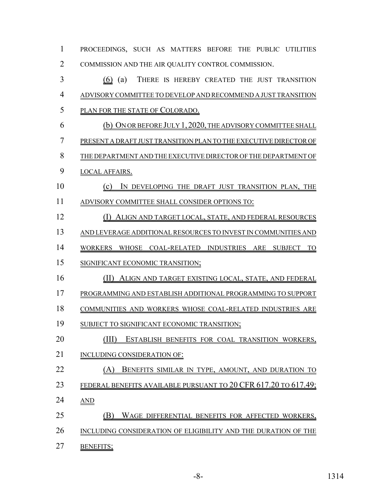| $\mathbf{1}$   | PROCEEDINGS, SUCH AS MATTERS BEFORE THE PUBLIC UTILITIES          |
|----------------|-------------------------------------------------------------------|
| $\overline{2}$ | COMMISSION AND THE AIR QUALITY CONTROL COMMISSION.                |
| 3              | $(6)$ (a)<br>THERE IS HEREBY CREATED THE JUST TRANSITION          |
| $\overline{4}$ | ADVISORY COMMITTEE TO DEVELOP AND RECOMMEND A JUST TRANSITION     |
| 5              | PLAN FOR THE STATE OF COLORADO.                                   |
| 6              | (b) ON OR BEFORE JULY 1, 2020, THE ADVISORY COMMITTEE SHALL       |
| 7              | PRESENT A DRAFT JUST TRANSITION PLAN TO THE EXECUTIVE DIRECTOR OF |
| 8              | THE DEPARTMENT AND THE EXECUTIVE DIRECTOR OF THE DEPARTMENT OF    |
| 9              | <b>LOCAL AFFAIRS.</b>                                             |
| 10             | IN DEVELOPING THE DRAFT JUST TRANSITION PLAN, THE<br>(c)          |
| 11             | ADVISORY COMMITTEE SHALL CONSIDER OPTIONS TO:                     |
| 12             | (1)<br>ALIGN AND TARGET LOCAL, STATE, AND FEDERAL RESOURCES       |
| 13             | AND LEVERAGE ADDITIONAL RESOURCES TO INVEST IN COMMUNITIES AND    |
| 14             | WORKERS WHOSE COAL-RELATED INDUSTRIES ARE SUBJECT TO              |
| 15             | SIGNIFICANT ECONOMIC TRANSITION;                                  |
| 16             | (II)<br>ALIGN AND TARGET EXISTING LOCAL, STATE, AND FEDERAL       |
| 17             | PROGRAMMING AND ESTABLISH ADDITIONAL PROGRAMMING TO SUPPORT       |
| 18             | COMMUNITIES AND WORKERS WHOSE COAL-RELATED INDUSTRIES ARE         |
| 19             | SUBJECT TO SIGNIFICANT ECONOMIC TRANSITION;                       |
| 20             | (HD<br>ESTABLISH BENEFITS FOR COAL TRANSITION WORKERS,            |
| 21             | INCLUDING CONSIDERATION OF:                                       |
| 22             | BENEFITS SIMILAR IN TYPE, AMOUNT, AND DURATION TO<br>(A)          |
| 23             | FEDERAL BENEFITS AVAILABLE PURSUANT TO 20 CFR 617.20 TO 617.49;   |
| 24             | <b>AND</b>                                                        |
| 25             | (B)<br>WAGE DIFFERENTIAL BENEFITS FOR AFFECTED WORKERS,           |
| 26             | INCLUDING CONSIDERATION OF ELIGIBILITY AND THE DURATION OF THE    |
| 27             | <b>BENEFITS;</b>                                                  |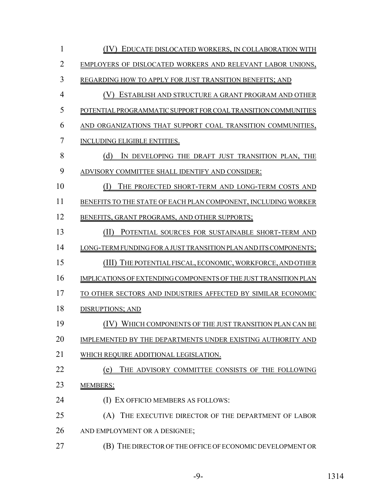| 1              | <u>(IV) EDUCATE DISLOCATED WORKERS, IN COLLABORATION WITH</u>    |
|----------------|------------------------------------------------------------------|
| $\overline{2}$ | EMPLOYERS OF DISLOCATED WORKERS AND RELEVANT LABOR UNIONS,       |
| 3              | REGARDING HOW TO APPLY FOR JUST TRANSITION BENEFITS; AND         |
| $\overline{4}$ | (V)<br>ESTABLISH AND STRUCTURE A GRANT PROGRAM AND OTHER         |
| 5              | POTENTIAL PROGRAMMATIC SUPPORT FOR COAL TRANSITION COMMUNITIES   |
| 6              | AND ORGANIZATIONS THAT SUPPORT COAL TRANSITION COMMUNITIES,      |
| $\overline{7}$ | <b>INCLUDING ELIGIBLE ENTITIES.</b>                              |
| 8              | (d)<br>IN DEVELOPING THE DRAFT JUST TRANSITION PLAN, THE         |
| 9              | ADVISORY COMMITTEE SHALL IDENTIFY AND CONSIDER:                  |
| 10             | (I)<br>THE PROJECTED SHORT-TERM AND LONG-TERM COSTS AND          |
| 11             | BENEFITS TO THE STATE OF EACH PLAN COMPONENT, INCLUDING WORKER   |
| 12             | BENEFITS, GRANT PROGRAMS, AND OTHER SUPPORTS;                    |
| 13             | (II)<br>POTENTIAL SOURCES FOR SUSTAINABLE SHORT-TERM AND         |
| 14             | LONG-TERM FUNDING FOR A JUST TRANSITION PLAN AND ITS COMPONENTS; |
| 15             | (III)<br>THE POTENTIAL FISCAL, ECONOMIC, WORKFORCE, AND OTHER    |
| 16             | IMPLICATIONS OF EXTENDING COMPONENTS OF THE JUST TRANSITION PLAN |
| 17             | TO OTHER SECTORS AND INDUSTRIES AFFECTED BY SIMILAR ECONOMIC     |
| 18             | <b>DISRUPTIONS; AND</b>                                          |
| 19             | (IV) WHICH COMPONENTS OF THE JUST TRANSITION PLAN CAN BE         |
| 20             | IMPLEMENTED BY THE DEPARTMENTS UNDER EXISTING AUTHORITY AND      |
| 21             | WHICH REQUIRE ADDITIONAL LEGISLATION.                            |
| 22             | THE ADVISORY COMMITTEE CONSISTS OF THE FOLLOWING<br>(e)          |
| 23             | <b>MEMBERS:</b>                                                  |
| 24             | (I) EX OFFICIO MEMBERS AS FOLLOWS:                               |
| 25             | (A) THE EXECUTIVE DIRECTOR OF THE DEPARTMENT OF LABOR            |
| 26             | AND EMPLOYMENT OR A DESIGNEE;                                    |
| 27             | (B) THE DIRECTOR OF THE OFFICE OF ECONOMIC DEVELOPMENT OR        |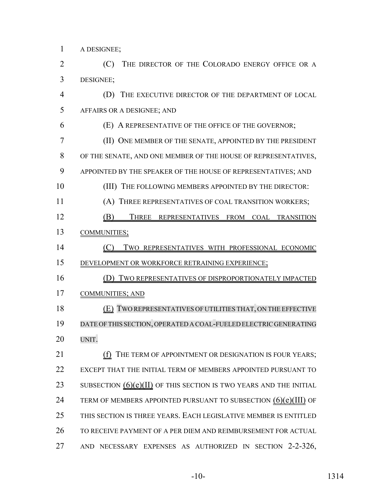A DESIGNEE;

 (C) THE DIRECTOR OF THE COLORADO ENERGY OFFICE OR A DESIGNEE;

 (D) THE EXECUTIVE DIRECTOR OF THE DEPARTMENT OF LOCAL AFFAIRS OR A DESIGNEE; AND

(E) A REPRESENTATIVE OF THE OFFICE OF THE GOVERNOR;

 (II) ONE MEMBER OF THE SENATE, APPOINTED BY THE PRESIDENT OF THE SENATE, AND ONE MEMBER OF THE HOUSE OF REPRESENTATIVES, APPOINTED BY THE SPEAKER OF THE HOUSE OF REPRESENTATIVES; AND 10 (III) THE FOLLOWING MEMBERS APPOINTED BY THE DIRECTOR:

(A) THREE REPRESENTATIVES OF COAL TRANSITION WORKERS;

12 (B) THREE REPRESENTATIVES FROM COAL TRANSITION COMMUNITIES;

- (C) TWO REPRESENTATIVES WITH PROFESSIONAL ECONOMIC DEVELOPMENT OR WORKFORCE RETRAINING EXPERIENCE;
- (D) TWO REPRESENTATIVES OF DISPROPORTIONATELY IMPACTED

COMMUNITIES; AND

 (E) TWO REPRESENTATIVES OF UTILITIES THAT, ON THE EFFECTIVE DATE OFTHIS SECTION, OPERATED A COAL-FUELED ELECTRIC GENERATING UNIT.

**(f)** THE TERM OF APPOINTMENT OR DESIGNATION IS FOUR YEARS: EXCEPT THAT THE INITIAL TERM OF MEMBERS APPOINTED PURSUANT TO 23 SUBSECTION  $(6)(e)(II)$  OF THIS SECTION IS TWO YEARS AND THE INITIAL 24 TERM OF MEMBERS APPOINTED PURSUANT TO SUBSECTION  $(6)(e)(III)$  OF THIS SECTION IS THREE YEARS. EACH LEGISLATIVE MEMBER IS ENTITLED TO RECEIVE PAYMENT OF A PER DIEM AND REIMBURSEMENT FOR ACTUAL AND NECESSARY EXPENSES AS AUTHORIZED IN SECTION 2-2-326,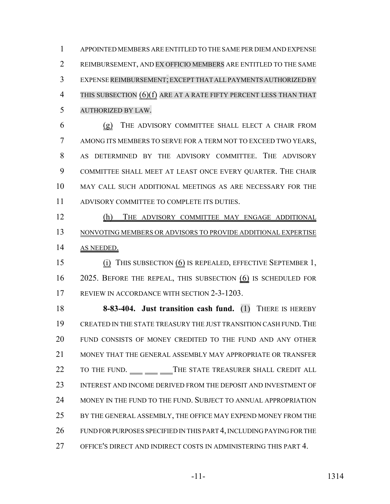APPOINTED MEMBERS ARE ENTITLED TO THE SAME PER DIEM AND EXPENSE REIMBURSEMENT, AND EX OFFICIO MEMBERS ARE ENTITLED TO THE SAME EXPENSE REIMBURSEMENT;EXCEPT THAT ALLPAYMENTS AUTHORIZED BY 4 THIS SUBSECTION  $(6)(f)$  ARE AT A RATE FIFTY PERCENT LESS THAN THAT AUTHORIZED BY LAW.

 (g) THE ADVISORY COMMITTEE SHALL ELECT A CHAIR FROM AMONG ITS MEMBERS TO SERVE FOR A TERM NOT TO EXCEED TWO YEARS, AS DETERMINED BY THE ADVISORY COMMITTEE. THE ADVISORY COMMITTEE SHALL MEET AT LEAST ONCE EVERY QUARTER. THE CHAIR MAY CALL SUCH ADDITIONAL MEETINGS AS ARE NECESSARY FOR THE ADVISORY COMMITTEE TO COMPLETE ITS DUTIES.

 (h) THE ADVISORY COMMITTEE MAY ENGAGE ADDITIONAL NONVOTING MEMBERS OR ADVISORS TO PROVIDE ADDITIONAL EXPERTISE AS NEEDED.

 (i) THIS SUBSECTION (6) IS REPEALED, EFFECTIVE SEPTEMBER 1, 2025. BEFORE THE REPEAL, THIS SUBSECTION (6) IS SCHEDULED FOR 17 REVIEW IN ACCORDANCE WITH SECTION 2-3-1203.

 **8-83-404. Just transition cash fund.** (1) THERE IS HEREBY CREATED IN THE STATE TREASURY THE JUST TRANSITION CASH FUND.THE FUND CONSISTS OF MONEY CREDITED TO THE FUND AND ANY OTHER MONEY THAT THE GENERAL ASSEMBLY MAY APPROPRIATE OR TRANSFER 22 TO THE FUND. THE STATE TREASURER SHALL CREDIT ALL INTEREST AND INCOME DERIVED FROM THE DEPOSIT AND INVESTMENT OF MONEY IN THE FUND TO THE FUND. SUBJECT TO ANNUAL APPROPRIATION BY THE GENERAL ASSEMBLY, THE OFFICE MAY EXPEND MONEY FROM THE FUND FOR PURPOSES SPECIFIED IN THIS PART 4, INCLUDING PAYING FOR THE OFFICE'S DIRECT AND INDIRECT COSTS IN ADMINISTERING THIS PART 4.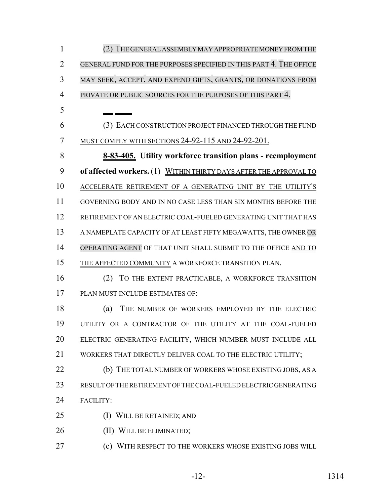(2) THE GENERALASSEMBLY MAY APPROPRIATE MONEYFROMTHE GENERAL FUND FOR THE PURPOSES SPECIFIED IN THIS PART 4. THE OFFICE MAY SEEK, ACCEPT, AND EXPEND GIFTS, GRANTS, OR DONATIONS FROM PRIVATE OR PUBLIC SOURCES FOR THE PURPOSES OF THIS PART 4. (3) EACH CONSTRUCTION PROJECT FINANCED THROUGH THE FUND MUST COMPLY WITH SECTIONS 24-92-115 AND 24-92-201. **8-83-405. Utility workforce transition plans - reemployment of affected workers.** (1) WITHIN THIRTY DAYS AFTER THE APPROVAL TO ACCELERATE RETIREMENT OF A GENERATING UNIT BY THE UTILITY'S GOVERNING BODY AND IN NO CASE LESS THAN SIX MONTHS BEFORE THE RETIREMENT OF AN ELECTRIC COAL-FUELED GENERATING UNIT THAT HAS A NAMEPLATE CAPACITY OF AT LEAST FIFTY MEGAWATTS, THE OWNER OR 14 OPERATING AGENT OF THAT UNIT SHALL SUBMIT TO THE OFFICE AND TO THE AFFECTED COMMUNITY A WORKFORCE TRANSITION PLAN. (2) TO THE EXTENT PRACTICABLE, A WORKFORCE TRANSITION PLAN MUST INCLUDE ESTIMATES OF: (a) THE NUMBER OF WORKERS EMPLOYED BY THE ELECTRIC UTILITY OR A CONTRACTOR OF THE UTILITY AT THE COAL-FUELED ELECTRIC GENERATING FACILITY, WHICH NUMBER MUST INCLUDE ALL 21 WORKERS THAT DIRECTLY DELIVER COAL TO THE ELECTRIC UTILITY; (b) THE TOTAL NUMBER OF WORKERS WHOSE EXISTING JOBS, AS A RESULT OF THE RETIREMENT OF THE COAL-FUELED ELECTRIC GENERATING FACILITY: (I) WILL BE RETAINED; AND 26 (II) WILL BE ELIMINATED; (c) WITH RESPECT TO THE WORKERS WHOSE EXISTING JOBS WILL

-12- 1314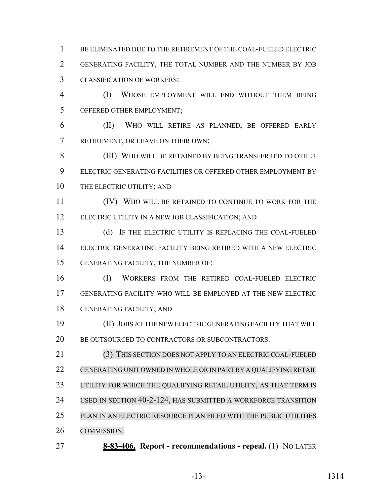BE ELIMINATED DUE TO THE RETIREMENT OF THE COAL-FUELED ELECTRIC GENERATING FACILITY, THE TOTAL NUMBER AND THE NUMBER BY JOB CLASSIFICATION OF WORKERS:

 (I) WHOSE EMPLOYMENT WILL END WITHOUT THEM BEING OFFERED OTHER EMPLOYMENT;

 (II) WHO WILL RETIRE AS PLANNED, BE OFFERED EARLY RETIREMENT, OR LEAVE ON THEIR OWN;

 (III) WHO WILL BE RETAINED BY BEING TRANSFERRED TO OTHER ELECTRIC GENERATING FACILITIES OR OFFERED OTHER EMPLOYMENT BY 10 THE ELECTRIC UTILITY; AND

 (IV) WHO WILL BE RETAINED TO CONTINUE TO WORK FOR THE ELECTRIC UTILITY IN A NEW JOB CLASSIFICATION; AND

 (d) IF THE ELECTRIC UTILITY IS REPLACING THE COAL-FUELED ELECTRIC GENERATING FACILITY BEING RETIRED WITH A NEW ELECTRIC GENERATING FACILITY, THE NUMBER OF:

 (I) WORKERS FROM THE RETIRED COAL-FUELED ELECTRIC GENERATING FACILITY WHO WILL BE EMPLOYED AT THE NEW ELECTRIC GENERATING FACILITY; AND

 (II) JOBS AT THE NEW ELECTRIC GENERATING FACILITY THAT WILL 20 BE OUTSOURCED TO CONTRACTORS OR SUBCONTRACTORS.

 (3) THIS SECTION DOES NOT APPLY TO AN ELECTRIC COAL-FUELED GENERATING UNIT OWNED IN WHOLE OR IN PART BY A QUALIFYING RETAIL 23 UTILITY FOR WHICH THE QUALIFYING RETAIL UTILITY, AS THAT TERM IS USED IN SECTION 40-2-124, HAS SUBMITTED A WORKFORCE TRANSITION PLAN IN AN ELECTRIC RESOURCE PLAN FILED WITH THE PUBLIC UTILITIES COMMISSION.

**8-83-406. Report - recommendations - repeal.** (1) NO LATER